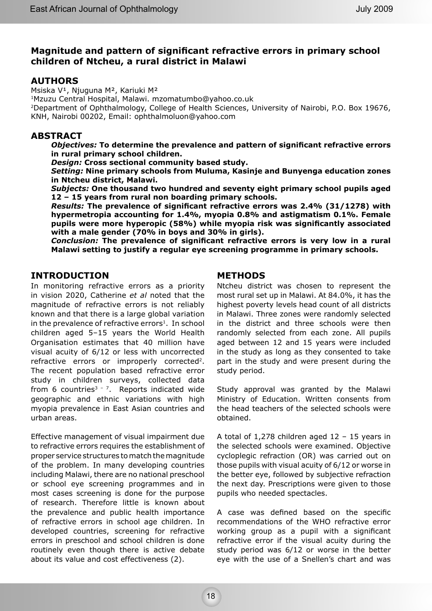# **Magnitude and pattern of significant refractive errors in primary school children of Ntcheu, a rural district in Malawi**

# **AUTHORS**

Msiska V<sup>1</sup>, Njuguna M<sup>2</sup>, Kariuki M<sup>2</sup>

1Mzuzu Central Hospital, Malawi. mzomatumbo@yahoo.co.uk

2Department of Ophthalmology, College of Health Sciences, University of Nairobi, P.O. Box 19676, KNH, Nairobi 00202, Email: ophthalmoluon@yahoo.com

## **ABSTRACT**

*Objectives:* **To determine the prevalence and pattern of significant refractive errors in rural primary school children.**

*Design:* **Cross sectional community based study.**

*Setting:* **Nine primary schools from Muluma, Kasinje and Bunyenga education zones in Ntcheu district, Malawi.**

*Subjects:* **One thousand two hundred and seventy eight primary school pupils aged 12 – 15 years from rural non boarding primary schools.**

*Results:* **The prevalence of significant refractive errors was 2.4% (31/1278) with hypermetropia accounting for 1.4%, myopia 0.8% and astigmatism 0.1%. Female pupils were more hyperopic (58%) while myopia risk was significantly associated with a male gender (70% in boys and 30% in girls).**

*Conclusion:* **The prevalence of significant refractive errors is very low in a rural Malawi setting to justify a regular eye screening programme in primary schools.**

## **INTRODUCTION**

In monitoring refractive errors as a priority in vision 2020, Catherine *et al* noted that the magnitude of refractive errors is not reliably known and that there is a large global variation in the prevalence of refractive errors<sup>1</sup>. In school children aged 5–15 years the World Health Organisation estimates that 40 million have visual acuity of 6/12 or less with uncorrected refractive errors or improperly corrected<sup>2</sup>. The recent population based refractive error study in children surveys, collected data from 6 countries<sup> $3 - 7$ </sup>. Reports indicated wide geographic and ethnic variations with high myopia prevalence in East Asian countries and urban areas.

Effective management of visual impairment due to refractive errors requires the establishment of proper service structures to match the magnitude of the problem. In many developing countries including Malawi, there are no national preschool or school eye screening programmes and in most cases screening is done for the purpose of research. Therefore little is known about the prevalence and public health importance of refractive errors in school age children. In developed countries, screening for refractive errors in preschool and school children is done routinely even though there is active debate about its value and cost effectiveness (2).

# **METHODS**

Ntcheu district was chosen to represent the most rural set up in Malawi. At 84.0%, it has the highest poverty levels head count of all districts in Malawi. Three zones were randomly selected in the district and three schools were then randomly selected from each zone. All pupils aged between 12 and 15 years were included in the study as long as they consented to take part in the study and were present during the study period.

Study approval was granted by the Malawi Ministry of Education. Written consents from the head teachers of the selected schools were obtained.

A total of 1,278 children aged 12 – 15 years in the selected schools were examined. Objective cycloplegic refraction (OR) was carried out on those pupils with visual acuity of 6/12 or worse in the better eye, followed by subjective refraction the next day. Prescriptions were given to those pupils who needed spectacles.

A case was defined based on the specific recommendations of the WHO refractive error working group as a pupil with a significant refractive error if the visual acuity during the study period was 6/12 or worse in the better eye with the use of a Snellen's chart and was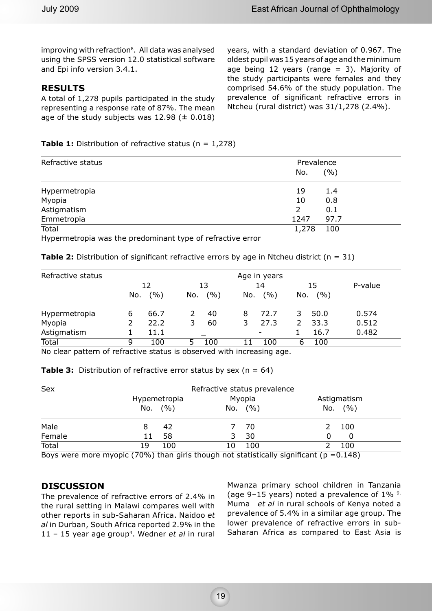improving with refraction<sup>8</sup>. All data was analysed using the SPSS version 12.0 statistical software and Epi info version 3.4.1.

## **RESULTS**

A total of 1,278 pupils participated in the study representing a response rate of 87%. The mean age of the study subjects was  $12.98 \ (\pm 0.018)$  years, with a standard deviation of 0.967. The oldest pupil was 15 years of age and the minimum age being 12 years (range  $= 3$ ). Majority of the study participants were females and they comprised 54.6% of the study population. The prevalence of significant refractive errors in Ntcheu (rural district) was 31/1,278 (2.4%).

## **Table 1:** Distribution of refractive status (n = 1,278)

| Refractive status | Prevalence<br>(9/0)<br>No. |  |  |  |  |
|-------------------|----------------------------|--|--|--|--|
| Hypermetropia     | 19<br>1.4                  |  |  |  |  |
| Myopia            | 10<br>0.8                  |  |  |  |  |
| Astigmatism       | 0.1<br>2                   |  |  |  |  |
| Emmetropia        | 97.7<br>1247               |  |  |  |  |
| Total             | 1,278<br>100               |  |  |  |  |

Hypermetropia was the predominant type of refractive error

**Table 2:** Distribution of significant refractive errors by age in Ntcheu district (n = 31)

| Refractive status | Age in years |       |     |       |     |                          |     |       |         |
|-------------------|--------------|-------|-----|-------|-----|--------------------------|-----|-------|---------|
|                   | 12           |       | 13  |       | 14  |                          | 15  |       | P-value |
|                   | No.          | (9/0) | No. | (9/0) | No. | ( %)                     | No. | (9/0) |         |
| Hypermetropia     | 6            | 66.7  |     | 40    | 8   | 72.7                     | 3   | 50.0  | 0.574   |
| Myopia            |              | 22.2  | 3   | 60    | 3   | 27.3                     | 2   | 33.3  | 0.512   |
| Astigmatism       |              | 11.1  |     |       |     | $\overline{\phantom{a}}$ |     | 16.7  | 0.482   |
| <b>Total</b>      | 9            | 100   |     | 100   |     | LOO                      | 6   | 100   |         |

No clear pattern of refractive status is observed with increasing age.

|  |  | <b>Table 3:</b> Distribution of refractive error status by sex ( $n = 64$ ) |  |  |  |  |
|--|--|-----------------------------------------------------------------------------|--|--|--|--|
|--|--|-----------------------------------------------------------------------------|--|--|--|--|

| <b>Sex</b> | Refractive status prevalence |           |              |  |  |  |
|------------|------------------------------|-----------|--------------|--|--|--|
|            | Hypemetropia                 | Myopia    | Astigmatism  |  |  |  |
|            | No. $(% )$                   | No. $(%)$ | (9/6)<br>No. |  |  |  |
| Male       | 42                           | 70        | 100          |  |  |  |
| Female     | 58<br>11                     | 30        | O            |  |  |  |
| Total      | 100<br>19                    | 100<br>10 | 100          |  |  |  |
| $\sim$     |                              |           |              |  |  |  |

Boys were more myopic (70%) than girls though not statistically significant ( $p = 0.148$ )

## **DISCUSSION**

The prevalence of refractive errors of 2.4% in the rural setting in Malawi compares well with other reports in sub-Saharan Africa. Naidoo *et al* in Durban, South Africa reported 2.9% in the 11 – 15 year age group4. Wedner *et al* in rural

Mwanza primary school children in Tanzania (age 9–15 years) noted a prevalence of 1% 9. Muma *et al* in rural schools of Kenya noted a prevalence of 5.4% in a similar age group. The lower prevalence of refractive errors in sub-Saharan Africa as compared to East Asia is